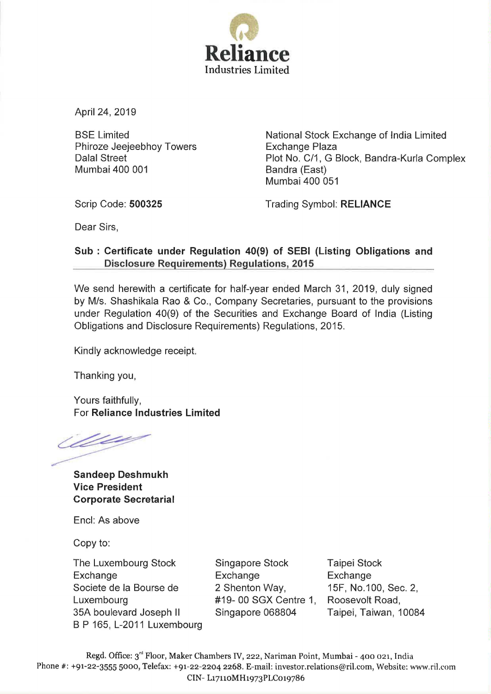

April 24, 2019

BSE Limited Phiroze Jeejeebhoy Towers Dalal Street Mumbai 400 001

National Stock Exchange of India Limited Exchange Plaza Plot No. C/1, G Block, Bandra-Kurla Complex Bandra (East) Mumbai 400 051

Scrip Code: 500325

Trading Symbol: RELIANCE

Dear Sirs,

# Sub : Certificate under Regulation 40(9) of SEBI (Listing Obligations and Disclosure Requirements) Regulations, 2015

We send herewith a certificate for half-year ended March 31, 2019, duly signed by M/s. Shashikala Rao & Co., Company Secretaries, pursuant to the provisions under Regulation 40(9) of the Securities and Exchange Board of India (Listing Obligations and Disclosure Requirements) Regulations, 2015.

Kindly acknowledge receipt.

Thanking you,

Yours faithfully, For Reliance Industries Limited

Wee

Sandeep Deshmukh Vice President Corporate Secretarial

Encl: As above

Copy to:

The Luxembourg Stock Exchange Societe de Ia Bourse de Luxembourg 35A boulevard Joseph II B P 165, L-2011 Luxembourg

Singapore Stock Exchange 2 Shenton Way, #19- 00 SGX Centre 1, Singapore 068804

Taipei Stock Exchange 15F, No.100, Sec. 2, Roosevelt Road, Taipei, Taiwan, 10084

Regd. Office: 3'd Floor, Maker Chambers IV, 222, Nariman Point, Mumbai- 400 021, India Phone #: +91-22-3555 5000, Telefax: +91-22-2204 2268. E-mail: investor.relations@ril.com, Website: www.ril.com CIN- L17110MH1973PLCot9786